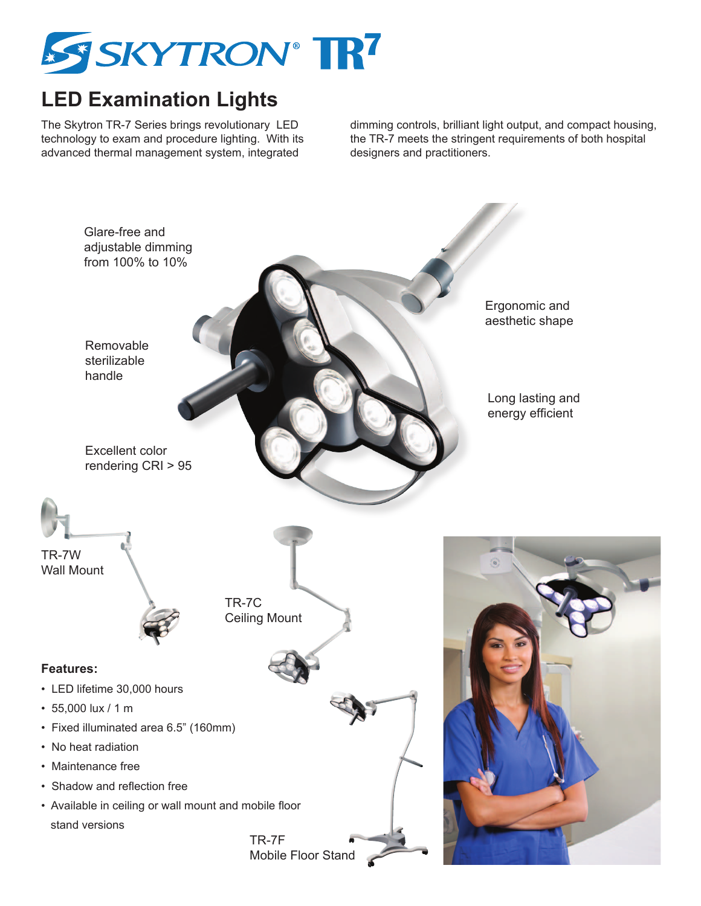

## **LED Examination Lights**

The Skytron TR-7 Series brings revolutionary LED technology to exam and procedure lighting. With its advanced thermal management system, integrated

dimming controls, brilliant light output, and compact housing, the TR-7 meets the stringent requirements of both hospital designers and practitioners.